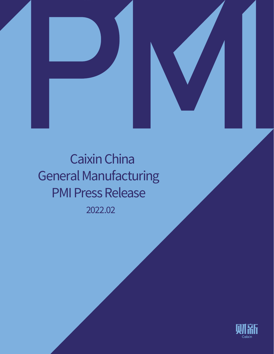



2022.02 Caixin China General Manufacturing PMI Press Release

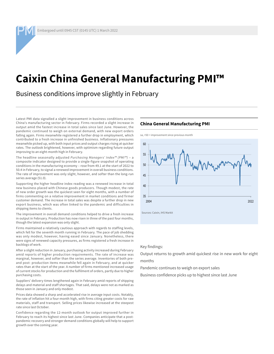# **Caixin China General Manufacturing PMI™**

Business conditions improve slightly in February

Latest PMI data signalled a slight improvement in business conditions across China's manufacturing sector in February. Firms recorded a slight increase in output amid the fastest increase in total sales since last June. However, the pandemic continued to weigh on external demand, with new export orders falling again. Firms meanwhile registered a further drop in employment, which contributed to a fresh increase in unfinished business. Inflationary pressures meanwhile picked up, with both input prices and output charges rising at quicker rates. The outlook brightened, however, with optimism regarding future output improving to an eight-month high in February.

The headline seasonally adjusted *Purchasing Managers' Index™ (PMI™)* – a composite indicator designed to provide a single-figure snapshot of operating conditions in the manufacturing economy – rose from 49.1 at the start of 2022 to 50.4 in February, to signal a renewed improvement in overall business conditions. The rate of improvement was only slight, however, and softer than the long-run series average (51.0).

Supporting the higher headline index reading was a renewed increase in total new business placed with Chinese goods producers. Though modest, the rate of new order growth was the quickest seen for eight months, with a number of firms commenting on a relative improvement in market conditions and firmer customer demand. The increase in total sales was despite a further drop in new export business, which was often linked to the pandemic and difficulties in shipping items to clients.

The improvement in overall demand conditions helped to drive a fresh increase in output in February. Production has now risen in three of the past four months, though the latest expansion was only slight.

Firms maintained a relatively cautious approach with regards to staffing levels, which fell for the seventh month running in February. The pace of job shedding was only modest, however, having eased since January. Nonetheless, there were signs of renewed capacity pressures, as firms registered a fresh increase in backlogs of work.

After a slight reduction in January, purchasing activity increased during February amid reports of higher production requirements. The rate of increase was marginal, however, and softer than the series average. Inventories of both preand post- production items meanwhile fell again in February, and at quicker rates than at the start of the year. A number of firms mentioned increased usage of current stocks for production and the fulfilment of orders, partly due to higher purchasing costs.

Suppliers' delivery times lengthened again in February amid reports of shipping delays and material and staff shortages. That said, delays were not as marked as those seen in January and only modest.

Prices data showed a sharp and accelerated rise in average input costs. Notably, the rate of inflation hit a four-month high, with firms citing greater costs for raw materials, staff and transport. Selling prices likewise increased at the steepest rate since last October.

Confidence regarding the 12-month outlook for output improved further in February to reach its highest since last June. Companies anticipate that a postpandemic recovery and stronger demand conditions globally will help to support growth over the coming year.

## **China General Manufacturing PMI**





Key findings:

Output returns to growth amid quickest rise in new work for eight months

Pandemic continues to weigh on export sales

Business confidence picks up to highest since last June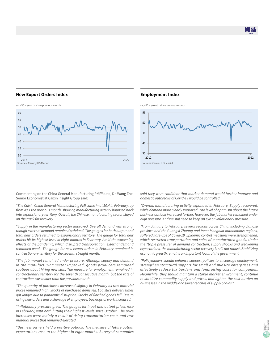# **New Export Orders Index**



# **Employment Index**



Commenting on the China General Manufacturing PMI™ data, Dr. Wang Zhe, Senior Economist at Caixin Insight Group said:

*"The Caixin China General Manufacturing PMI came in at 50.4 in February, up from 49.1 the previous month, showing manufacturing activity bounced back into expansionary territory. Overall, the Chinese manufacturing sector stayed on the track for recovery.*

*"Supply in the manufacturing sector improved. Overall demand was strong, though external demand remained subdued. The gauges for both output and total new orders returned to expansionary territory. The gauge for total new orders hit its highest level in eight months in February. Amid the worsening effects of the pandemic, which disrupted transportation, external demand remained weak. The gauge for new export orders in February remained in contractionary territory for the seventh straight month.*

*"The job market remained under pressure. Although supply and demand in the manufacturing sector improved, goods producers remained cautious about hiring new staff. The measure for employment remained in contractionary territory for the seventh consecutive month, but the rate of contraction was milder than the previous month.*

*"The quantity of purchases increased slightly in February as raw material prices remained high. Stocks of purchased items fell. Logistics delivery times got longer due to pandemic disruption. Stocks of finished goods fell. Due to rising new orders and a shortage of employees, backlogs of work increased.* 

*"Inflationary pressure grew. The gauges for input and output prices rose in February, with both hitting their highest levels since October. The price increases were mainly a result of rising transportation costs and raw material prices that remained elevated.*

*"Business owners held a positive outlook. The measure of future output expectations rose to the highest in eight months. Surveyed companies*  *said they were confident that market demand would further improve and domestic outbreaks of Covid-19 would be controlled.*

*"Overall, manufacturing activity expanded in February. Supply recovered, while demand more clearly improved. The level of optimism about the future business outlook increased further. However, the job market remained under high pressure. And we still need to keep an eye on inflationary pressure.*

*"From January to February, several regions across China, including Jiangsu province and the Guangxi Zhuang and Inner Mongolia autonomous regions, suffered flare-ups of Covid-19. Epidemic control measures were strengthened, which restricted transportation and sales of manufactured goods. Under the "triple pressure" of demand contraction, supply shocks and weakening expectations, the manufacturing sector recovery is still not robust. Stabilizing economic growth remains an important focus of the government.* 

*"Policymakers should enhance support policies to encourage employment, strengthen structural support for small and midsize enterprises and effectively reduce tax burdens and fundraising costs for companies. Meanwhile, they should maintain a stable market environment, continue to stabilize commodity supply and prices, and lighten the cost burden on businesses in the middle and lower reaches of supply chains."*